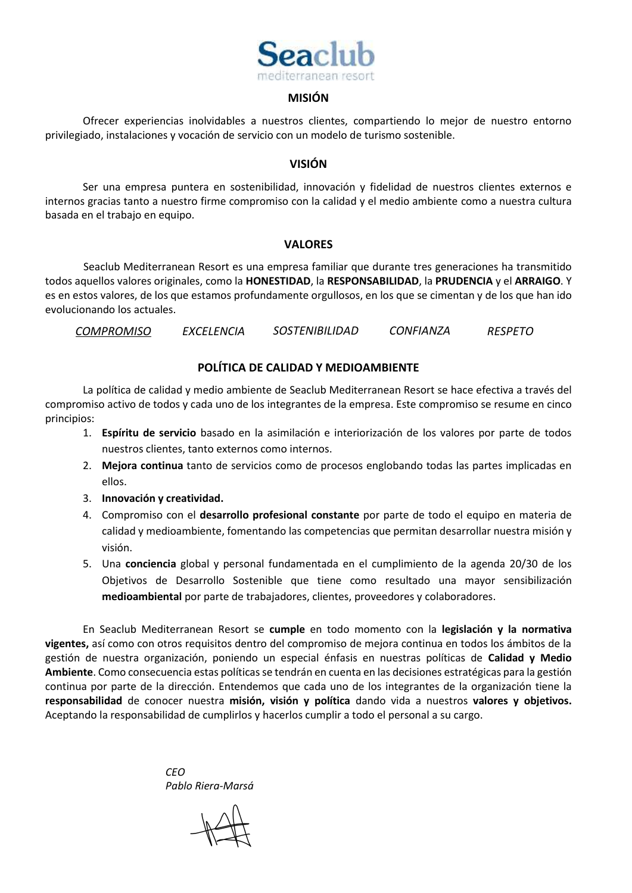

## **MISIÓN**

Ofrecer experiencias inolvidables a nuestros clientes, compartiendo lo mejor de nuestro entorno privilegiado, instalaciones y vocación de servicio con un modelo de turismo sostenible.

### **VISIÓN**

Ser una empresa puntera en sostenibilidad, innovación y fidelidad de nuestros clientes externos e internos gracias tanto a nuestro firme compromiso con la calidad y el medio ambiente como a nuestra cultura basada en el trabajo en equipo.

## **VALORES**

Seaclub Mediterranean Resort es una empresa familiar que durante tres generaciones ha transmitido todos aquellos valores originales, como la **HONESTIDAD**, la **RESPONSABILIDAD**, la **PRUDENCIA** y el **ARRAIGO**. Y es en estos valores, de los que estamos profundamente orgullosos, en los que se cimentan y de los que han ido evolucionando los actuales.

*COMPROMISO EXCELENCIA SOSTENIBILIDAD CONFIANZA RESPETO*

# **POLÍTICA DE CALIDAD Y MEDIOAMBIENTE**

La política de calidad y medio ambiente de Seaclub Mediterranean Resort se hace efectiva a través del compromiso activo de todos y cada uno de los integrantes de la empresa. Este compromiso se resume en cinco principios:

- 1. **Espíritu de servicio** basado en la asimilación e interiorización de los valores por parte de todos nuestros clientes, tanto externos como internos.
- 2. **Mejora continua** tanto de servicios como de procesos englobando todas las partes implicadas en ellos.
- 3. **Innovación y creatividad.**
- 4. Compromiso con el **desarrollo profesional constante** por parte de todo el equipo en materia de calidad y medioambiente, fomentando las competencias que permitan desarrollar nuestra misión y visión.
- 5. Una **conciencia** global y personal fundamentada en el cumplimiento de la agenda 20/30 de los Objetivos de Desarrollo Sostenible que tiene como resultado una mayor sensibilización **medioambiental** por parte de trabajadores, clientes, proveedores y colaboradores.

En Seaclub Mediterranean Resort se **cumple** en todo momento con la **legislación y la normativa vigentes,** así como con otros requisitos dentro del compromiso de mejora continua en todos los ámbitos de la gestión de nuestra organización, poniendo un especial énfasis en nuestras políticas de **Calidad y Medio Ambiente**. Como consecuencia estas políticas se tendrán en cuenta en las decisiones estratégicas para la gestión continua por parte de la dirección. Entendemos que cada uno de los integrantes de la organización tiene la **responsabilidad** de conocer nuestra **misión, visión y política** dando vida a nuestros **valores y objetivos.**  Aceptando la responsabilidad de cumplirlos y hacerlos cumplir a todo el personal a su cargo.

> *CEO Pablo Riera-Marsá*